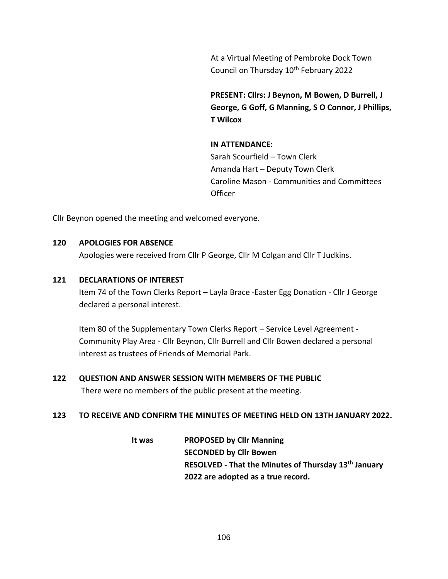At a Virtual Meeting of Pembroke Dock Town Council on Thursday 10<sup>th</sup> February 2022

**PRESENT: Cllrs: J Beynon, M Bowen, D Burrell, J George, G Goff, G Manning, S O Connor, J Phillips, T Wilcox**

## **IN ATTENDANCE:**

Sarah Scourfield – Town Clerk Amanda Hart – Deputy Town Clerk Caroline Mason - Communities and Committees **Officer** 

Cllr Beynon opened the meeting and welcomed everyone.

#### **120 APOLOGIES FOR ABSENCE**

Apologies were received from Cllr P George, Cllr M Colgan and Cllr T Judkins.

#### **121 DECLARATIONS OF INTEREST**

Item 74 of the Town Clerks Report – Layla Brace -Easter Egg Donation - Cllr J George declared a personal interest.

Item 80 of the Supplementary Town Clerks Report – Service Level Agreement - Community Play Area - Cllr Beynon, Cllr Burrell and Cllr Bowen declared a personal interest as trustees of Friends of Memorial Park.

#### **122 QUESTION AND ANSWER SESSION WITH MEMBERS OF THE PUBLIC**

There were no members of the public present at the meeting.

#### **123 TO RECEIVE AND CONFIRM THE MINUTES OF MEETING HELD ON 13TH JANUARY 2022.**

**It was PROPOSED by Cllr Manning SECONDED by Cllr Bowen RESOLVED - That the Minutes of Thursday 13th January 2022 are adopted as a true record.**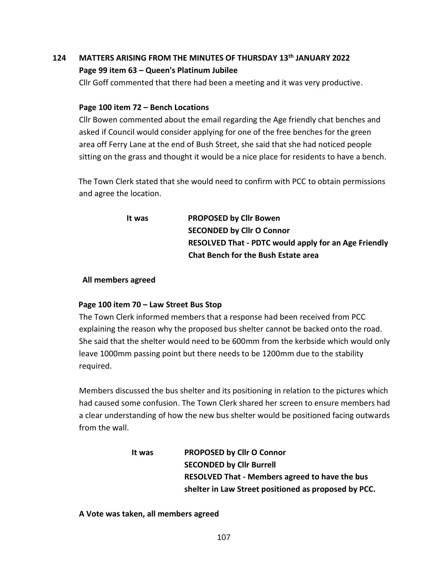# **124 MATTERS ARISING FROM THE MINUTES OF THURSDAY 13th JANUARY 2022 Page 99 item 63 – Queen's Platinum Jubilee**

Cllr Goff commented that there had been a meeting and it was very productive.

### **Page 100 item 72 – Bench Locations**

Cllr Bowen commented about the email regarding the Age friendly chat benches and asked if Council would consider applying for one of the free benches for the green area off Ferry Lane at the end of Bush Street, she said that she had noticed people sitting on the grass and thought it would be a nice place for residents to have a bench.

 The Town Clerk stated that she would need to confirm with PCC to obtain permissions and agree the location.

> **It was PROPOSED by Cllr Bowen SECONDED by Cllr O Connor RESOLVED That - PDTC would apply for an Age Friendly Chat Bench for the Bush Estate area**

### **All members agreed**

## **Page 100 item 70 – Law Street Bus Stop**

The Town Clerk informed members that a response had been received from PCC explaining the reason why the proposed bus shelter cannot be backed onto the road. She said that the shelter would need to be 600mm from the kerbside which would only leave 1000mm passing point but there needs to be 1200mm due to the stability required.

Members discussed the bus shelter and its positioning in relation to the pictures which had caused some confusion. The Town Clerk shared her screen to ensure members had a clear understanding of how the new bus shelter would be positioned facing outwards from the wall.

| lt was | <b>PROPOSED by Cllr O Connor</b>                      |
|--------|-------------------------------------------------------|
|        | <b>SECONDED by Cllr Burrell</b>                       |
|        | <b>RESOLVED That - Members agreed to have the bus</b> |
|        | shelter in Law Street positioned as proposed by PCC.  |

#### **A Vote was taken, all members agreed**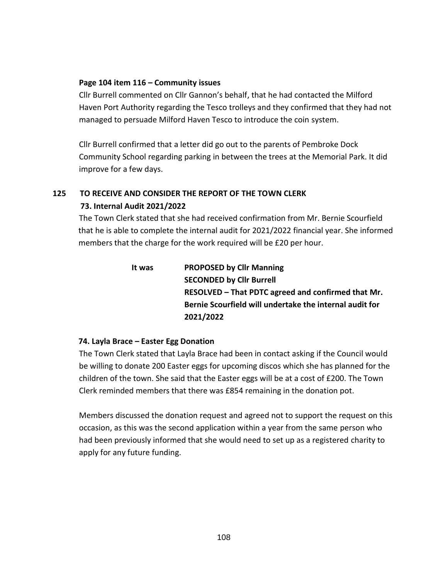#### **Page 104 item 116 – Community issues**

Cllr Burrell commented on Cllr Gannon's behalf, that he had contacted the Milford Haven Port Authority regarding the Tesco trolleys and they confirmed that they had not managed to persuade Milford Haven Tesco to introduce the coin system.

Cllr Burrell confirmed that a letter did go out to the parents of Pembroke Dock Community School regarding parking in between the trees at the Memorial Park. It did improve for a few days.

## **125 TO RECEIVE AND CONSIDER THE REPORT OF THE TOWN CLERK 73. Internal Audit 2021/2022**

The Town Clerk stated that she had received confirmation from Mr. Bernie Scourfield that he is able to complete the internal audit for 2021/2022 financial year. She informed members that the charge for the work required will be £20 per hour.

| It was | <b>PROPOSED by Cllr Manning</b>                         |
|--------|---------------------------------------------------------|
|        | <b>SECONDED by Cllr Burrell</b>                         |
|        | RESOLVED – That PDTC agreed and confirmed that Mr.      |
|        | Bernie Scourfield will undertake the internal audit for |
|        | 2021/2022                                               |

## **74. Layla Brace – Easter Egg Donation**

The Town Clerk stated that Layla Brace had been in contact asking if the Council would be willing to donate 200 Easter eggs for upcoming discos which she has planned for the children of the town. She said that the Easter eggs will be at a cost of £200. The Town Clerk reminded members that there was £854 remaining in the donation pot.

Members discussed the donation request and agreed not to support the request on this occasion, as this was the second application within a year from the same person who had been previously informed that she would need to set up as a registered charity to apply for any future funding.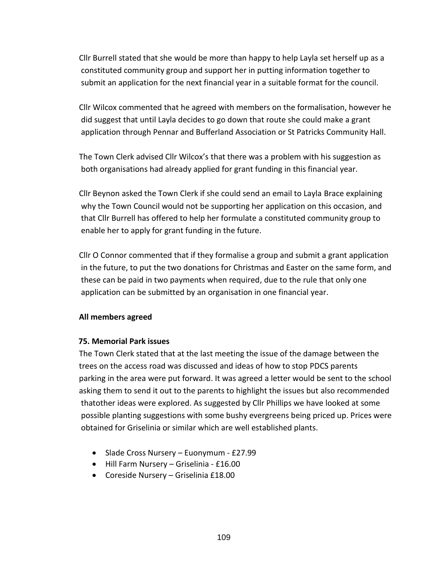Cllr Burrell stated that she would be more than happy to help Layla set herself up as a constituted community group and support her in putting information together to submit an application for the next financial year in a suitable format for the council.

Cllr Wilcox commented that he agreed with members on the formalisation, however he did suggest that until Layla decides to go down that route she could make a grant application through Pennar and Bufferland Association or St Patricks Community Hall.

The Town Clerk advised Cllr Wilcox's that there was a problem with his suggestion as both organisations had already applied for grant funding in this financial year.

Cllr Beynon asked the Town Clerk if she could send an email to Layla Brace explaining why the Town Council would not be supporting her application on this occasion, and that Cllr Burrell has offered to help her formulate a constituted community group to enable her to apply for grant funding in the future.

Cllr O Connor commented that if they formalise a group and submit a grant application in the future, to put the two donations for Christmas and Easter on the same form, and these can be paid in two payments when required, due to the rule that only one application can be submitted by an organisation in one financial year.

#### **All members agreed**

## **75. Memorial Park issues**

The Town Clerk stated that at the last meeting the issue of the damage between the trees on the access road was discussed and ideas of how to stop PDCS parents parking in the area were put forward. It was agreed a letter would be sent to the school asking them to send it out to the parents to highlight the issues but also recommended thatother ideas were explored. As suggested by Cllr Phillips we have looked at some possible planting suggestions with some bushy evergreens being priced up. Prices were obtained for Griselinia or similar which are well established plants.

- Slade Cross Nursery Euonymum £27.99
- Hill Farm Nursery Griselinia £16.00
- Coreside Nursery Griselinia £18.00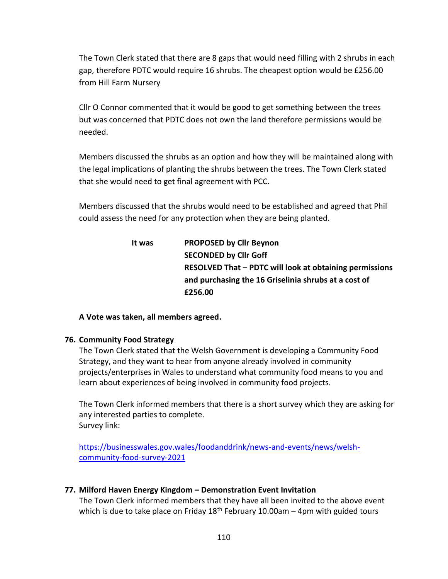The Town Clerk stated that there are 8 gaps that would need filling with 2 shrubs in each gap, therefore PDTC would require 16 shrubs. The cheapest option would be £256.00 from Hill Farm Nursery

Cllr O Connor commented that it would be good to get something between the trees but was concerned that PDTC does not own the land therefore permissions would be needed.

Members discussed the shrubs as an option and how they will be maintained along with the legal implications of planting the shrubs between the trees. The Town Clerk stated that she would need to get final agreement with PCC.

Members discussed that the shrubs would need to be established and agreed that Phil could assess the need for any protection when they are being planted.

# **It was PROPOSED by Cllr Beynon SECONDED by Cllr Goff RESOLVED That – PDTC will look at obtaining permissions and purchasing the 16 Griselinia shrubs at a cost of £256.00**

**A Vote was taken, all members agreed.**

## **76. Community Food Strategy**

The Town Clerk stated that the Welsh Government is developing a Community Food Strategy, and they want to hear from anyone already involved in community projects/enterprises in Wales to understand what community food means to you and learn about experiences of being involved in community food projects.

The Town Clerk informed members that there is a short survey which they are asking for any interested parties to complete. Survey link:

[https://businesswales.gov.wales/foodanddrink/news-and-events/news/welsh](https://businesswales.gov.wales/foodanddrink/news-and-events/news/welsh-community-food-survey-2021)[community-food-survey-2021](https://businesswales.gov.wales/foodanddrink/news-and-events/news/welsh-community-food-survey-2021)

## **77. Milford Haven Energy Kingdom – Demonstration Event Invitation**

The Town Clerk informed members that they have all been invited to the above event which is due to take place on Friday  $18<sup>th</sup>$  February 10.00am – 4pm with guided tours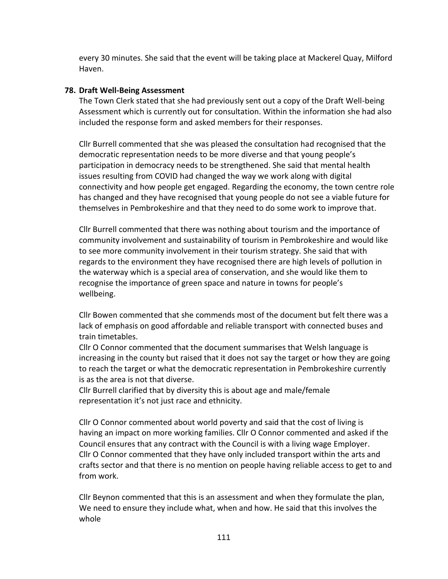every 30 minutes. She said that the event will be taking place at Mackerel Quay, Milford Haven.

## **78. Draft Well-Being Assessment**

The Town Clerk stated that she had previously sent out a copy of the Draft Well-being Assessment which is currently out for consultation. Within the information she had also included the response form and asked members for their responses.

Cllr Burrell commented that she was pleased the consultation had recognised that the democratic representation needs to be more diverse and that young people's participation in democracy needs to be strengthened. She said that mental health issues resulting from COVID had changed the way we work along with digital connectivity and how people get engaged. Regarding the economy, the town centre role has changed and they have recognised that young people do not see a viable future for themselves in Pembrokeshire and that they need to do some work to improve that.

Cllr Burrell commented that there was nothing about tourism and the importance of community involvement and sustainability of tourism in Pembrokeshire and would like to see more community involvement in their tourism strategy. She said that with regards to the environment they have recognised there are high levels of pollution in the waterway which is a special area of conservation, and she would like them to recognise the importance of green space and nature in towns for people's wellbeing.

Cllr Bowen commented that she commends most of the document but felt there was a lack of emphasis on good affordable and reliable transport with connected buses and train timetables.

Cllr O Connor commented that the document summarises that Welsh language is increasing in the county but raised that it does not say the target or how they are going to reach the target or what the democratic representation in Pembrokeshire currently is as the area is not that diverse.

Cllr Burrell clarified that by diversity this is about age and male/female representation it's not just race and ethnicity.

Cllr O Connor commented about world poverty and said that the cost of living is having an impact on more working families. Cllr O Connor commented and asked if the Council ensures that any contract with the Council is with a living wage Employer. Cllr O Connor commented that they have only included transport within the arts and crafts sector and that there is no mention on people having reliable access to get to and from work.

Cllr Beynon commented that this is an assessment and when they formulate the plan, We need to ensure they include what, when and how. He said that this involves the whole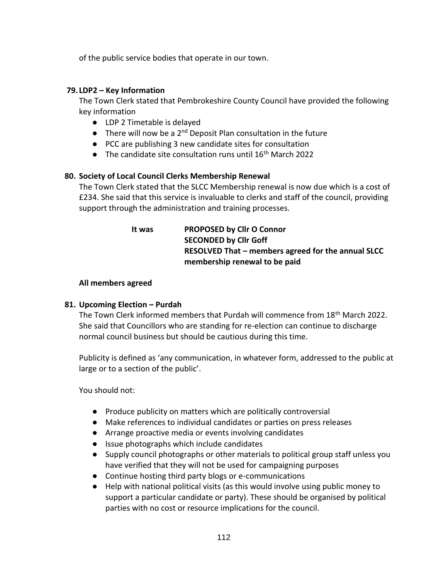of the public service bodies that operate in our town.

### **79. LDP2 – Key Information**

The Town Clerk stated that Pembrokeshire County Council have provided the following key information

- LDP 2 Timetable is delayed
- **•** There will now be a  $2^{nd}$  Deposit Plan consultation in the future
- PCC are publishing 3 new candidate sites for consultation
- $\bullet$  The candidate site consultation runs until 16<sup>th</sup> March 2022

## **80. Society of Local Council Clerks Membership Renewal**

The Town Clerk stated that the SLCC Membership renewal is now due which is a cost of £234. She said that this service is invaluable to clerks and staff of the council, providing support through the administration and training processes.

> **It was PROPOSED by Cllr O Connor SECONDED by Cllr Goff RESOLVED That – members agreed for the annual SLCC membership renewal to be paid**

### **All members agreed**

## **81. Upcoming Election – Purdah**

The Town Clerk informed members that Purdah will commence from 18th March 2022. She said that Councillors who are standing for re-election can continue to discharge normal council business but should be cautious during this time.

Publicity is defined as 'any communication, in whatever form, addressed to the public at large or to a section of the public'.

You should not:

- Produce publicity on matters which are politically controversial
- Make references to individual candidates or parties on press releases
- Arrange proactive media or events involving candidates
- Issue photographs which include candidates
- Supply council photographs or other materials to political group staff unless you have verified that they will not be used for campaigning purposes
- Continue hosting third party blogs or e-communications
- Help with national political visits (as this would involve using public money to support a particular candidate or party). These should be organised by political parties with no cost or resource implications for the council.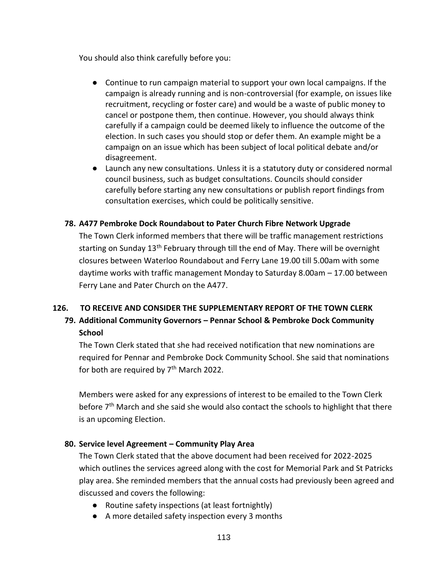You should also think carefully before you:

- Continue to run campaign material to support your own local campaigns. If the campaign is already running and is non-controversial (for example, on issues like recruitment, recycling or foster care) and would be a waste of public money to cancel or postpone them, then continue. However, you should always think carefully if a campaign could be deemed likely to influence the outcome of the election. In such cases you should stop or defer them. An example might be a campaign on an issue which has been subject of local political debate and/or disagreement.
- Launch any new consultations. Unless it is a statutory duty or considered normal council business, such as budget consultations. Councils should consider carefully before starting any new consultations or publish report findings from consultation exercises, which could be politically sensitive.

## **78. A477 Pembroke Dock Roundabout to Pater Church Fibre Network Upgrade**

The Town Clerk informed members that there will be traffic management restrictions starting on Sunday 13<sup>th</sup> February through till the end of May. There will be overnight closures between Waterloo Roundabout and Ferry Lane 19.00 till 5.00am with some daytime works with traffic management Monday to Saturday 8.00am – 17.00 between Ferry Lane and Pater Church on the A477.

## **126. TO RECEIVE AND CONSIDER THE SUPPLEMENTARY REPORT OF THE TOWN CLERK**

## **79. Additional Community Governors – Pennar School & Pembroke Dock Community School**

The Town Clerk stated that she had received notification that new nominations are required for Pennar and Pembroke Dock Community School. She said that nominations for both are required by  $7<sup>th</sup>$  March 2022.

Members were asked for any expressions of interest to be emailed to the Town Clerk before 7<sup>th</sup> March and she said she would also contact the schools to highlight that there is an upcoming Election.

## **80. Service level Agreement – Community Play Area**

The Town Clerk stated that the above document had been received for 2022-2025 which outlines the services agreed along with the cost for Memorial Park and St Patricks play area. She reminded members that the annual costs had previously been agreed and discussed and covers the following:

- Routine safety inspections (at least fortnightly)
- A more detailed safety inspection every 3 months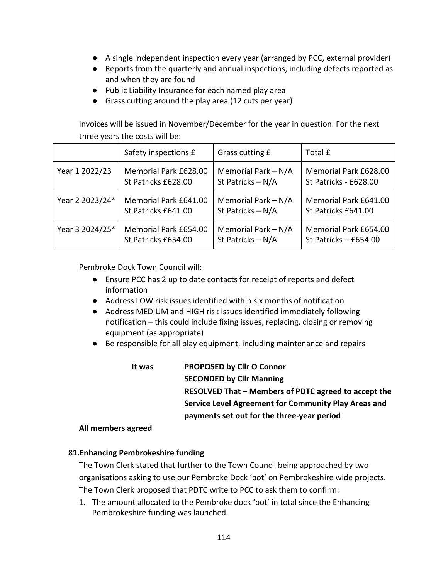- A single independent inspection every year (arranged by PCC, external provider)
- Reports from the quarterly and annual inspections, including defects reported as and when they are found
- Public Liability Insurance for each named play area
- Grass cutting around the play area (12 cuts per year)

Invoices will be issued in November/December for the year in question. For the next three years the costs will be:

|                 | Safety inspections £  | Grass cutting £     | Total £               |
|-----------------|-----------------------|---------------------|-----------------------|
| Year 1 2022/23  | Memorial Park £628.00 | Memorial Park - N/A | Memorial Park £628.00 |
|                 | St Patricks £628.00   | St Patricks - N/A   | St Patricks - £628.00 |
| Year 2 2023/24* | Memorial Park £641.00 | Memorial Park - N/A | Memorial Park £641.00 |
|                 | St Patricks £641.00   | St Patricks - N/A   | St Patricks £641.00   |
| Year 3 2024/25* | Memorial Park £654.00 | Memorial Park - N/A | Memorial Park £654.00 |
|                 | St Patricks £654.00   | St Patricks - N/A   | St Patricks - £654.00 |

Pembroke Dock Town Council will:

- Ensure PCC has 2 up to date contacts for receipt of reports and defect information
- Address LOW risk issues identified within six months of notification
- Address MEDIUM and HIGH risk issues identified immediately following notification – this could include fixing issues, replacing, closing or removing equipment (as appropriate)
- Be responsible for all play equipment, including maintenance and repairs

| lt was | PROPOSED by Cllr O Connor                            |
|--------|------------------------------------------------------|
|        | <b>SECONDED by Cllr Manning</b>                      |
|        | RESOLVED That – Members of PDTC agreed to accept the |
|        | Service Level Agreement for Community Play Areas and |
|        | payments set out for the three-year period           |
|        |                                                      |

#### **All members agreed**

## **81.Enhancing Pembrokeshire funding**

The Town Clerk stated that further to the Town Council being approached by two organisations asking to use our Pembroke Dock 'pot' on Pembrokeshire wide projects. The Town Clerk proposed that PDTC write to PCC to ask them to confirm:

1. The amount allocated to the Pembroke dock 'pot' in total since the Enhancing Pembrokeshire funding was launched.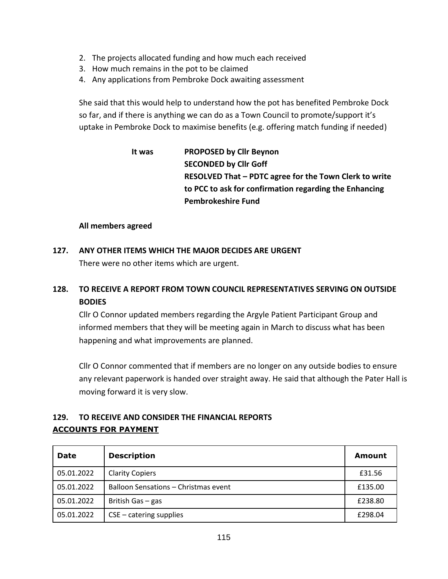- 2. The projects allocated funding and how much each received
- 3. How much remains in the pot to be claimed
- 4. Any applications from Pembroke Dock awaiting assessment

She said that this would help to understand how the pot has benefited Pembroke Dock so far, and if there is anything we can do as a Town Council to promote/support it's uptake in Pembroke Dock to maximise benefits (e.g. offering match funding if needed)

# **It was PROPOSED by Cllr Beynon SECONDED by Cllr Goff RESOLVED That – PDTC agree for the Town Clerk to write to PCC to ask for confirmation regarding the Enhancing Pembrokeshire Fund**

### **All members agreed**

# **127. ANY OTHER ITEMS WHICH THE MAJOR DECIDES ARE URGENT** There were no other items which are urgent.

# **128. TO RECEIVE A REPORT FROM TOWN COUNCIL REPRESENTATIVES SERVING ON OUTSIDE BODIES**

Cllr O Connor updated members regarding the Argyle Patient Participant Group and informed members that they will be meeting again in March to discuss what has been happening and what improvements are planned.

Cllr O Connor commented that if members are no longer on any outside bodies to ensure any relevant paperwork is handed over straight away. He said that although the Pater Hall is moving forward it is very slow.

## **129. TO RECEIVE AND CONSIDER THE FINANCIAL REPORTS ACCOUNTS FOR PAYMENT**

| <b>Date</b> | <b>Description</b>                   | Amount  |
|-------------|--------------------------------------|---------|
| 05.01.2022  | <b>Clarity Copiers</b>               | £31.56  |
| 05.01.2022  | Balloon Sensations - Christmas event | £135.00 |
| 05.01.2022  | British Gas - gas                    | £238.80 |
| 05.01.2022  | $CSE - catering$ supplies            | £298.04 |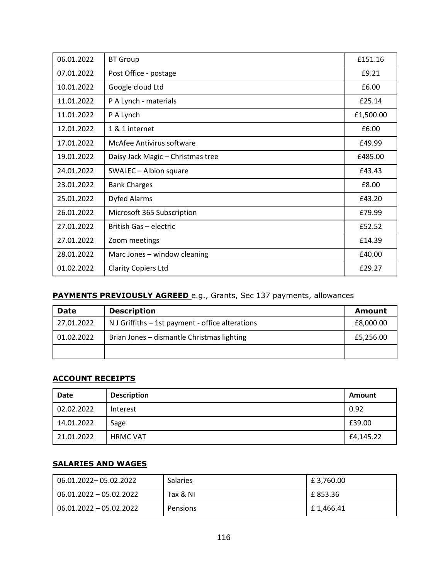| 06.01.2022 | <b>BT Group</b>                   | £151.16   |
|------------|-----------------------------------|-----------|
| 07.01.2022 | Post Office - postage             | £9.21     |
| 10.01.2022 | Google cloud Ltd                  | £6.00     |
| 11.01.2022 | P A Lynch - materials             | £25.14    |
| 11.01.2022 | P A Lynch                         | £1,500.00 |
| 12.01.2022 | 1 & 1 internet                    | £6.00     |
| 17.01.2022 | McAfee Antivirus software         | £49.99    |
| 19.01.2022 | Daisy Jack Magic - Christmas tree | £485.00   |
| 24.01.2022 | SWALEC - Albion square            | £43.43    |
| 23.01.2022 | <b>Bank Charges</b>               | £8.00     |
| 25.01.2022 | <b>Dyfed Alarms</b>               | £43.20    |
| 26.01.2022 | Microsoft 365 Subscription        | £79.99    |
| 27.01.2022 | British Gas - electric            | £52.52    |
| 27.01.2022 | Zoom meetings                     | £14.39    |
| 28.01.2022 | Marc Jones - window cleaning      | £40.00    |
| 01.02.2022 | <b>Clarity Copiers Ltd</b>        | £29.27    |

## **PAYMENTS PREVIOUSLY AGREED** e.g., Grants, Sec 137 payments, allowances

| <b>Date</b> | <b>Description</b>                               | <b>Amount</b> |
|-------------|--------------------------------------------------|---------------|
| 27.01.2022  | N J Griffiths - 1st payment - office alterations | £8,000.00     |
| 01.02.2022  | Brian Jones - dismantle Christmas lighting       | £5,256.00     |
|             |                                                  |               |

## **ACCOUNT RECEIPTS**

| Date       | <b>Description</b> | Amount    |
|------------|--------------------|-----------|
| 02.02.2022 | Interest           | 0.92      |
| 14.01.2022 | Sage               | £39.00    |
| 21.01.2022 | <b>HRMC VAT</b>    | £4,145.22 |

## **SALARIES AND WAGES**

| 06.01.2022-05.02.2022     | <b>Salaries</b> | $E$ 3,760.00 |
|---------------------------|-----------------|--------------|
| 06.01.2022 - 05.02.2022   | Tax & NI        | £ 853.36     |
| $06.01.2022 - 05.02.2022$ | Pensions        | E 1,466.41   |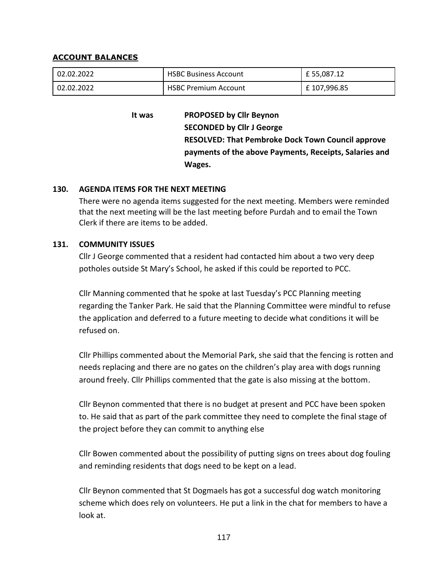#### **ACCOUNT BALANCES**

| 02.02.2022 | <b>HSBC Business Account</b> | £ 55,087.12 |
|------------|------------------------------|-------------|
| 02.02.2022 | <b>HSBC Premium Account</b>  | £107,996.85 |

**It was PROPOSED by Cllr Beynon SECONDED by Cllr J George RESOLVED: That Pembroke Dock Town Council approve payments of the above Payments, Receipts, Salaries and Wages.**

### **130. AGENDA ITEMS FOR THE NEXT MEETING**

There were no agenda items suggested for the next meeting. Members were reminded that the next meeting will be the last meeting before Purdah and to email the Town Clerk if there are items to be added.

#### **131. COMMUNITY ISSUES**

Cllr J George commented that a resident had contacted him about a two very deep potholes outside St Mary's School, he asked if this could be reported to PCC.

Cllr Manning commented that he spoke at last Tuesday's PCC Planning meeting regarding the Tanker Park. He said that the Planning Committee were mindful to refuse the application and deferred to a future meeting to decide what conditions it will be refused on.

Cllr Phillips commented about the Memorial Park, she said that the fencing is rotten and needs replacing and there are no gates on the children's play area with dogs running around freely. Cllr Phillips commented that the gate is also missing at the bottom.

Cllr Beynon commented that there is no budget at present and PCC have been spoken to. He said that as part of the park committee they need to complete the final stage of the project before they can commit to anything else

Cllr Bowen commented about the possibility of putting signs on trees about dog fouling and reminding residents that dogs need to be kept on a lead.

Cllr Beynon commented that St Dogmaels has got a successful dog watch monitoring scheme which does rely on volunteers. He put a link in the chat for members to have a look at.